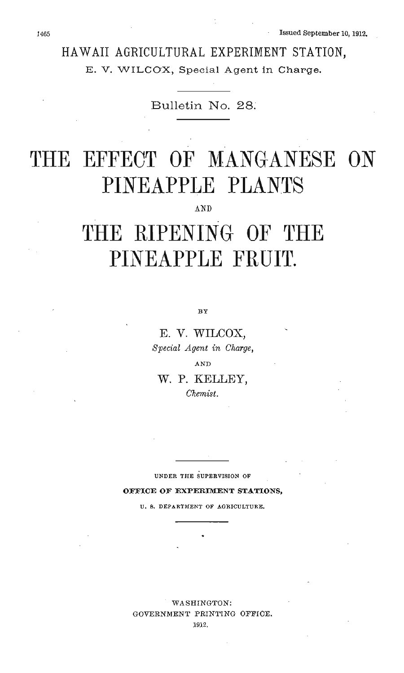### HAWAII AGRICULTURAL EXPERIMENT STATION, E. V. WILCOX, Special Agent in Charge.

### Bulletin No. 28.

# THE EFFECT OF MANGANESE ON PINEAPPLE PLANTS

**AND** 

# THE RIPENING OF THE PINEAPPLE FRUIT.

BY

E. V. WILCOX, Special Agent in Charge,

AND

W. P. KELLEY.

 $Chemist$ 

UNDER THE SUPERVISION OF

OFFICE OF EXPERIMENT STATIONS,

U. S. DEPARTMENT OF AGRICULTURE.

WASHINGTON: GOVERNMENT PRINTING OFFICE. 1912.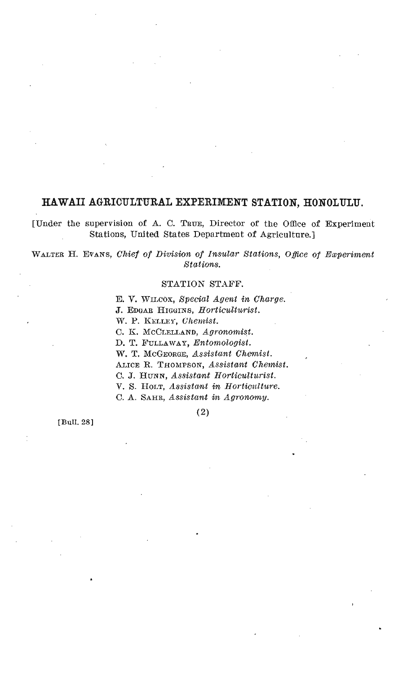#### HAWAII AGRICULTURAL EXPERIMENT STATION, HONOLULU.

[Under the supervision of A. C. TRUE, Director of the Office of Experiment Stations, United States Department of Agriculture.]

WALTER H. EVANS, Chief of Division of Insular Stations, Office of Experiment  $Statistics.$ 

#### STATION STAFF.

E. V. WLLCOX, Special Agent in Charge. J. EDGAB HIGGINS, Horticulturist. W. P. KELLEY, Chemist. C. K. MCCLELLAND, Agronomist. D. T. FULLAWAY, Entomologist. W. T. MCGEORGE, Assistant Chemist. ALICE R. THOMPSON, Assistant Chemist. C. J. HUNN, Assistant Horticulturist. V. S. HOLT, Assistant in Horticulture. C. A. SAHR, Assistant in Agronomy.

 $(2)$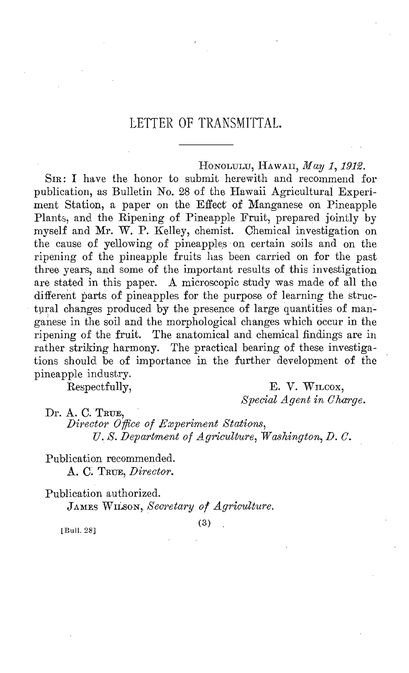### LETTER OF TRANSMITTAL.

#### HONOLULU, HAWAII, *May 1, 1912*.

SIR: I have the honor to submit herewith and recommend for publication, as Bulletin No. 28 of the Hawaii Agricultural Experiment Station, a paper on the Effect of Manganese on Pineapple Plants, and the Ripening of Pineapple Fruit, prepared jointly by myself and Mr. W. P. Kelley, chemist. Chemical investigation on the cause of yellowing of pineapples on certain soils and on the ripening of the pineapple fruits has been carried on for the past three years, and some of the important results of this investigation are stated in this paper. A microscopic study was made of all the different parts of pineapples for the purpose of learning the structural changes produced by the presence of large quantities of manganese in the soil and the morphological changes which occur in the ripening of the fruit. The anatomical and chemical findings are in rather striking harmony. The practical bearing of these investigations should be of importance in the further development of the pineapple industry.

Respectfully, E. V. WILCOX, *Special Agent in Oharge.* 

Dr. A. C. TRUE, *Director Office of E xperiment Stations, U. S . Department of Agriculture, Washington, D. O.* 

Publication recommended. A. C. TRUE, *Director*.

Publication authorized.

J AMES WILsON, *Secretary of Agriculture.* 

[Bull. 28]

(3)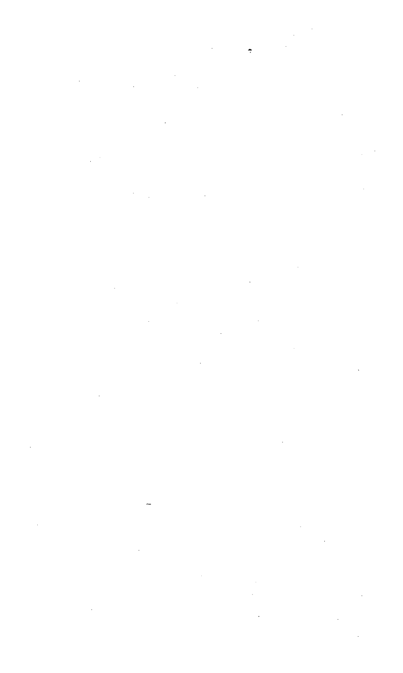$\label{eq:2.1} \begin{split} \mathcal{L}_{\text{max}}(\mathbf{X},\mathbf{X}) & = \mathcal{L}_{\text{max}}(\mathbf{X},\mathbf{X}) \mathcal{L}_{\text{max}}(\mathbf{X},\mathbf{X}) \\ & = \mathcal{L}_{\text{max}}(\mathbf{X},\mathbf{X}) \mathcal{L}_{\text{max}}(\mathbf{X},\mathbf{X}) \mathcal{L}_{\text{max}}(\mathbf{X},\mathbf{X}) \mathcal{L}_{\text{max}}(\mathbf{X},\mathbf{X}) \mathcal{L}_{\text{max}}(\mathbf{X},\mathbf{X}) \mathcal{L}_{\text{max}}(\mathbf{X},$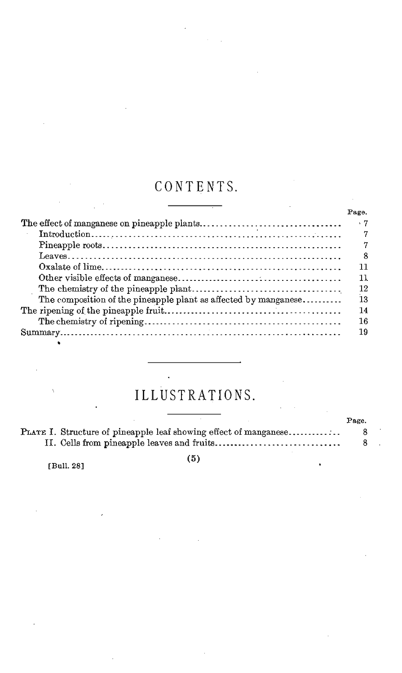## CONTENTS.

|                                                                 | Page. |
|-----------------------------------------------------------------|-------|
|                                                                 | .7    |
|                                                                 | 7     |
|                                                                 | 7     |
|                                                                 | 8     |
|                                                                 |       |
|                                                                 |       |
|                                                                 | 12    |
| The composition of the pineapple plant as affected by manganese | 13    |
|                                                                 | 14    |
|                                                                 | 16    |
|                                                                 | 19    |

# ILLUSTRATIONS.

l,

|                                                                  | Page. |
|------------------------------------------------------------------|-------|
| PLATE I. Structure of pineapple leaf showing effect of manganese |       |
| II. Cells from pineapple leaves and fruits                       |       |

 $[Bull. 28]$  (5)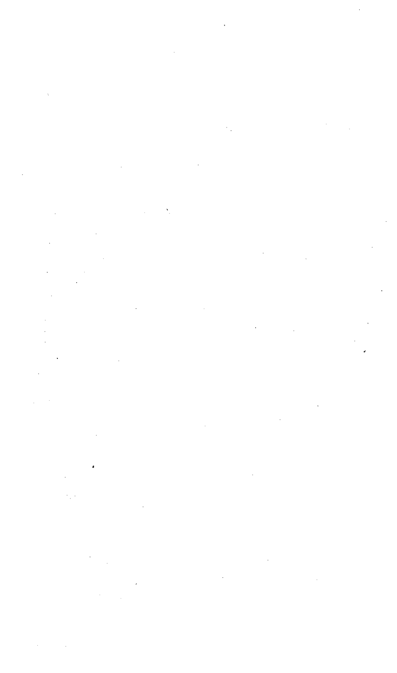$\label{eq:2.1} \frac{1}{\sqrt{2}}\int_{0}^{\infty}\frac{1}{\sqrt{2\pi}}\left(\frac{1}{\sqrt{2\pi}}\right)^{2\alpha} \left(\frac{1}{\sqrt{2\pi}}\right)^{\alpha} \frac{1}{\sqrt{2\pi}}\int_{0}^{\infty}\frac{1}{\sqrt{2\pi}}\left(\frac{1}{\sqrt{2\pi}}\right)^{\alpha} \frac{1}{\sqrt{2\pi}}\int_{0}^{\infty}\frac{1}{\sqrt{2\pi}}\frac{1}{\sqrt{2\pi}}\int_{0}^{\infty}\frac{1}{\sqrt{2\pi}}\frac{1}{\sqrt{2\pi}}\int_{0}^{\$  $\label{eq:2.1} \frac{1}{\sqrt{2}}\sum_{i=1}^n\frac{1}{\sqrt{2}}\sum_{i=1}^n\frac{1}{\sqrt{2}}\sum_{i=1}^n\frac{1}{\sqrt{2}}\sum_{i=1}^n\frac{1}{\sqrt{2}}\sum_{i=1}^n\frac{1}{\sqrt{2}}\sum_{i=1}^n\frac{1}{\sqrt{2}}\sum_{i=1}^n\frac{1}{\sqrt{2}}\sum_{i=1}^n\frac{1}{\sqrt{2}}\sum_{i=1}^n\frac{1}{\sqrt{2}}\sum_{i=1}^n\frac{1}{\sqrt{2}}\sum_{i=1}^n\frac$  $\label{eq:2.1} \mathcal{L}=\mathcal{L}(\mathcal{L}^{\text{max}}_{\mathcal{L}^{\text{max}}_{\mathcal{L}^{\text{max}}_{\mathcal{L}^{\text{max}}_{\mathcal{L}^{\text{max}}_{\mathcal{L}^{\text{max}}_{\mathcal{L}^{\text{max}}_{\mathcal{L}^{\text{max}}_{\mathcal{L}^{\text{max}}_{\mathcal{L}^{\text{max}}_{\mathcal{L}^{\text{max}}_{\mathcal{L}^{\text{max}}_{\mathcal{L}^{\text{max}}_{\mathcal{L}^{\text{max}}_{\mathcal{L}^{\text{max}}_{\mathcal{$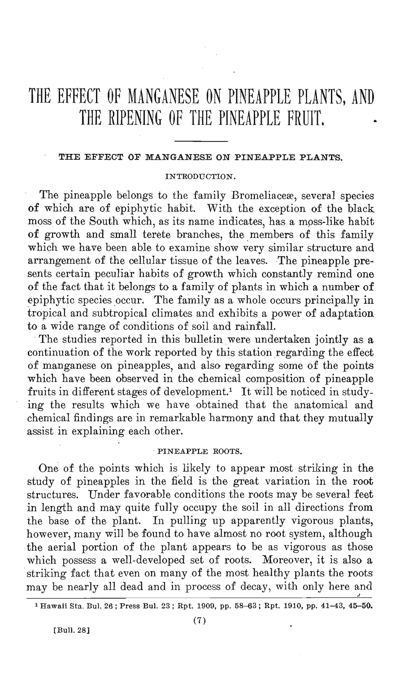# THE EFFECT OF MANGANESE ON PINEAPPLE PLANTS, AND THE RIPENING OF THE PINEAPPLE FRUIT.

#### THE EFFECT OF MANGANESE ON PINEAPPLE PLANTS.

#### I N TRODU CTIO N.

The pineapple belongs to the family Bromeliaces, several species of which are of epiphytic habit. With the exception of the black moss of the South which, as its name indicates, has a moss-like habit of growth and small terete branches, the members of this family which we have been able to examine show very similar structure and arrangement of the cellular tissue of the leaves. The pineapple presents certain peculiar habits of growth which constantly remind one of the fact that it belongs to a family of plants in which a number of epiphytic species occur. The family as a whole occurs principally in tropical and subtropical climates and exhibits a power of adaptation to awide range of conditions of soil and rainfall.

The studies reported in this bulletin were undertaken jointly as a continuation of the work reported by this station regarding the effect of manganese on pineapples, and also regarding some of the points which have been observed in the chemical composition of pineapple fruits in different stages of development.<sup>1</sup> It will be noticed in studying the results which we have obtained that the anatomical and chemical findings are in remarkable harmony and that they mutually assist in explaining each other.

#### PINEAPPLE ROOTS.

. One of the points which is likely to appear most striking in the study of pineapples in the field is the great variation in the root structures. Under favorable conditions the roots may be several feet in length and may quite fully occupy the soil in all directions from the base of the plant. In pulling up apparently vigorous plants, however, many will be found to have almost no root system, although the aerial portion of the plant appears to be as vigorous as those which possess a well-developed set of roots. Moreover, it is also a striking fact that even on many of the most healthy plants the roots may be nearly all dead and in process of decay, with only here and

<sup>&</sup>lt;sup>1</sup> Hawaii Sta. Bul. 26; Press Bul. 23; Rpt. 1909, pp. 58–63; Rpt. 1910, pp. 41–43, 45–50.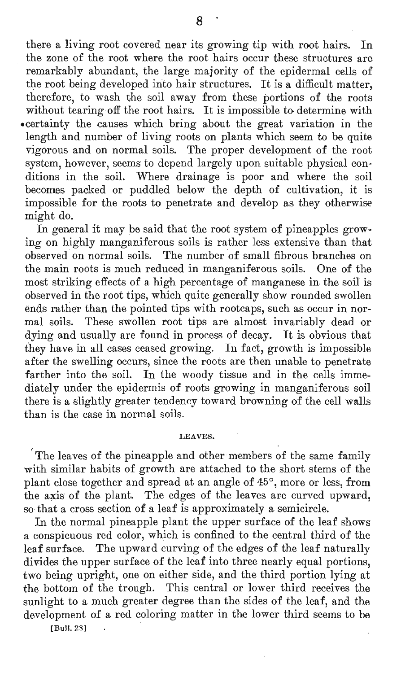there a living root covered near its growing tip with root hairs. I the zone of the root where the root hairs occur these structures are remarkably abundant, the large majority of the epidermal cells of the root being developed into hair structures. It is a difficult matter, therefore, to wash the soil away from these portions of the root without tearing off the root hairs. It is impossible to determine with -certainty the causes which bring about the great variation in th length and number of living roots on plants which seem to be quite vigorous and on normal soils. The proper development of the root system, however, seems to depend largely upon suitable physical con ditions in the soil. Where drainage is poor and where the soil becomes packed or puddled below the depth of cultivation, it i impossible for the roots to penetrate and develop as they otherwis might do.

In general it may be said that the root system of pineapples growing on highly manganiferous soils is rather less extensive than that observed on normal soils. The number of small fibrous branches on the main roots is much reduced in manganiferous soils. One of the most striking effects of a high percentage of manganese in the soil i observed in the root tips, which quite generally show rounded swolle ends rather than the pointed tips with rootcaps, such as occur in normal soils. These swollen root tips are almost invariably dead or dying and usually are found in process of decay. It is obvious tha they have in all cases ceased growing. In fact, growth is impossibl after the swelling occurs, since the roots are then unable to penetrate farther into the soil. In the woody tissue and in the cells immediately under the epidermis of roots growing in manganiferous soil there is a slightly greater tendency toward browning of the cell walls than is the case in normal soils.

#### LEAVES.

The leaves of the pineapple and other members of the same family with similar habits of growth are attached to the short stems of the plant close together and spread at an angle of  $45^{\circ}$ , more or less, from the axis of the plant. The edges of the leaves are curved upward, so that a cross section of a leaf is approximately a semicircle.

In the normal pineapple plant the upper surface of the leaf shows a conspicuous red color, which is confined to the central third of the leaf surface. The upward curving of the edges of the leaf naturally divides the upper surface of the leaf into three nearly equal portions. two being upright, one on either side, and the third portion lying at the bottom of the trough. This central or lower third receives the sunlight to a much greater degree than the sides of the leaf, and the development of a red coloring matter in the lower third seems to be

[Bull, 29] .

8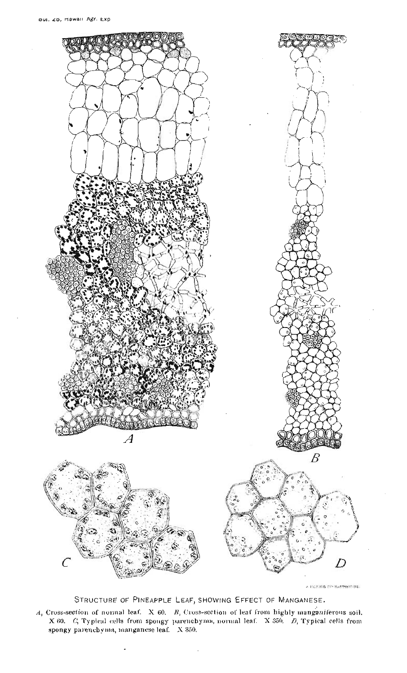

STRUCTURE OF PINEAPPLE LEAF, SHOWING EFFECT OF MANGANESE.

 $A$ , Cross-section of normal leaf.  $X$  60.  $B$ , Cross-section of leaf from higbly manganiferous soil.<br> $X$  60.  $C$ , Typical cells from spongy parenchypus, normal leaf.  $X$  350.  $D$ , Typical cells from spongy parenchyma, manganese leaf. X 350.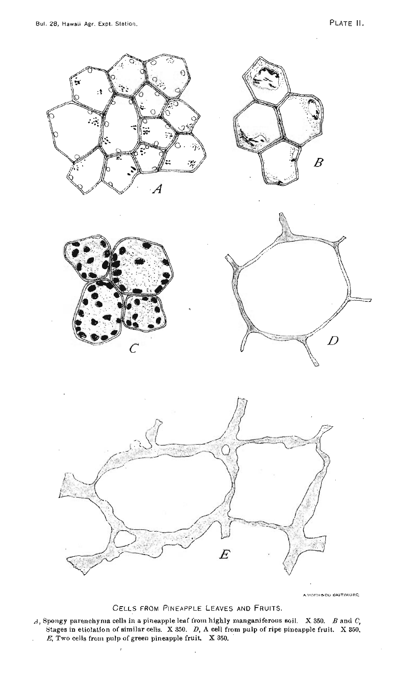

**GCO BAITIMURE** 

CELLS FROM PINEAPPLE LEAVES AND FRUITS.

 $A$ , Spongy parenchyma cells in a pineapple leaf from highly manganiferous soil. X 350.  $B$  and  $C$ , Stages in etiolation of similar cells. X 350. D, A cell from pulp of ripe pineapple fruit. X 350.  $E$ , Two cells from pulp of green pineapple fruit,  $X$  350.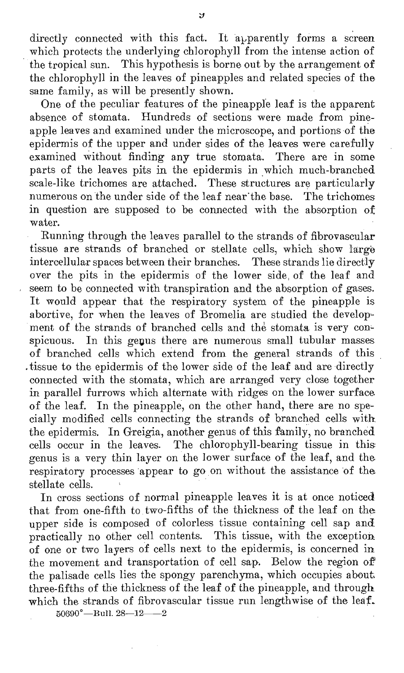directly connected with this fact. It apparently forms a screen which protects the underlying chlorophyll from the intense action of the tropical sun. This hypothesis is borne out by the arrangement of the chlorophyll in the leaves of pineapples and related species of the same family, as will be presently shown.

One of the peculiar features of the pineapple leaf is the apparent absence of stomata. Hundreds of sections were made from pineapple leaves and examined under the microscope, and portions of the epidermis of the upper and under sides of the leaves were carefully examined without finding any true stomata. There are in some parts of the leaves pits in the epidermis in which much-branched scale-like trichomes are attached. These structures are particularly numerous on the under side of the leaf near the base. The trichomes in question are supposed to be connected with the absorption of water.

Running through the leaves parallel to the strands of fibrovascular tissue are strands of branched or stellate cells, which show large intercellular spaces between their branches. These strands lie directly over the pits in the epidermis of the lower side of the leaf and seem to be connected with transpiration and the absorption of gases. It would appear that the respiratory system of the pineapple is abortive, for when the leaves of Bromelia are studied the development of the strands of branched cells and the stomata is very conspicuous. In this genus there are numerous small tubular masses .of branched cells which extend from the general strands of this .tissue to the epidermis of the lower side of the leaf and are directly connected with the stomata, which are arranged very close together in parallel furrows which alternate with ridges on the lower surface of the leaf. **In** the pineapple, on the other hand, there are no specially modified cells connecting the strands of branched cells with the epidermis. In Greigia, another genus of this family, no branched. cells occur in the leaves. The chlorophyll -bearing tissue in this genus is a very thin layer on the lower surface of the leaf, and the respiratory processes appear to go on without the assistance of the stellate cells.

In cross sections of normal pineapple leaves it is at once noticed that from one-fifth to two-fifths of the thickness of the leaf on the upper side is composed of colorless tissue containing cell sap and practically no other cell contents. This tissue, with the exception of one or two layers of cells next to the epidermis, is concerned in the movement and transportation of cell sap. Below the region of the palisade cells lies the spongy parenchyma, which occupies about three-fifths of the thickness of the leaf of the pineapple, and through which the strands of fibrovascular tissue run lengthwise of the leaf.

 $50690^{\circ}$  - Bull.28- $12$ -2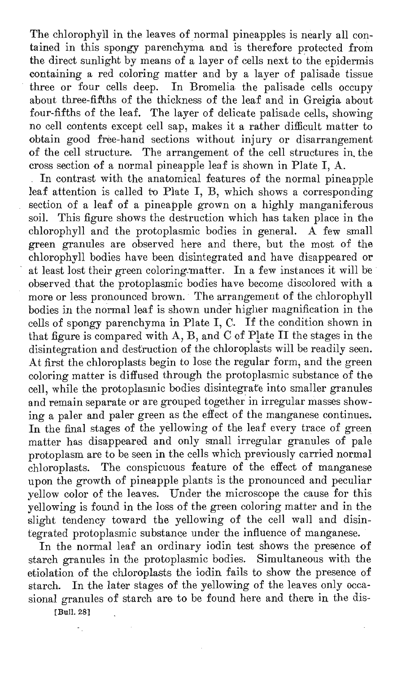The chlorophyll in the leaves of normal pineapples is nearly all contained in this spongy parenchyma and is therefore protected from the direct sunlight by means of a layer of cells next to the epidermis containing a red coloring matter and by a layer of palisade tissue three or four cells deep. In Bromelia the palisade cells occupy about three-fifths of the thickness of the leaf and in Greigia about four-fifths of the leaf. The layer of delicate palisade cells, showing no cell contents except cell sap, makes it a rather difficult matter to obtain good free-hand sections without injury or disarrangement of the cell structure. The arrangement of the cell structures in the cross section of a normal pineapple leaf is shown in Plate I, A.

In contrast with the anatomical features of the normal pineapple leaf attention is called to Plate I, B, which shows a corresponding section of a leaf of a pineapple grown on a highly manganiferous soil. This figure shows the destruction which has taken place in the chlorophyll and the protoplasmic bodies in general. A few small green granules are observed here and there, but the most of the chlorophyll bodies have been disintegrated and have disappeared or at least lost their green coloring matter. In a few instances it will be observed that the protoplasmic bodies have become discolored with a more or less pronounced brown. The arrangement of the chlorophyll bodies in the normal leaf is shown under higher magnification in the cells of spongy parenchyma in Plate I, C. If the condition shown in that figure is compared with  $A$ ,  $B$ , and  $C$  of Plate II the stages in the disintegration and destruction of the chloroplasts will be readily seen. At first the chloroplasts begin to lose the regular form, and the green coloring matter is diffused through the protoplasmic substance of the cell, while the protoplasmic bodies disintegrate into smaller granules and remain separate or are grouped together in irregular masses showing a paler and paler green as the effect of the manganese continues. In the final stages of the yellowing of the leaf every trace of green matter has disappeared and only small irregular granules of pale protoplasm are to be seen in the cells which previously carried normal chloroplasts, The conspicuous feature of the effect of manganese upon the growth of pineapple plants is the pronounced and peculiar yellow color of the leaves. Under the microscope the cause for this yellowing is found in the loss of the green coloring matter and in the slight tendency toward the yellowing of the cell wall and disintegrated protoplasmic substance under the influence of manganese. .

In the normal leaf an ordinary iodin test shows the presence of starch granules in the protoplasmic bodies. Simultaneous with the etiolation of the chloroplasts the iodin fails to show the presence of starch. In the later stages of the yellowing of the leaves only occasional granules of starch are to be found here and there in the dis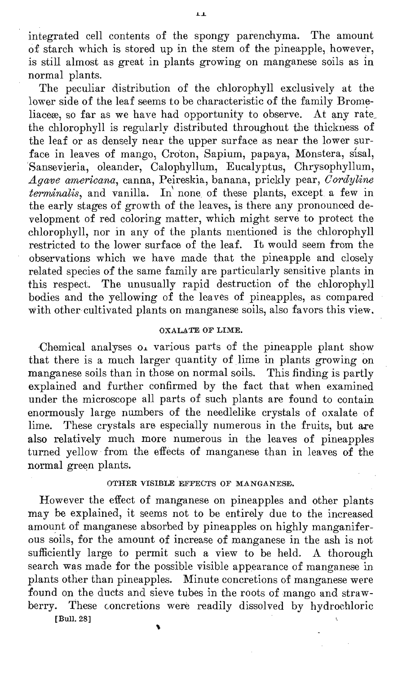integrated cell contents of the spongy parenchyma. The amount of starch which is stored up in the stem of the pineapple, however, is still almost as great in plants growing on manganese soils as in normal plants.

The peculiar distribution of the chlorophyll exclusively at the lower side of the leaf seems to be characteristic of the family Brome-Iiaceee, so far as we have had opportunity to observe. At any rate the chlorophyll is regularly distributed throughout the thickness of the leaf or as densely near the upper surface as near the lower surface in leaves of mango, Croton, Sapium, papaya, Monstera, sisal, 'Sansevieria, oleander, Calophyllum, Eucalyptus, Chrysophyllum, *Agave americana,* canna, Peireskia, banana, prickly pear, *Cordyline*  terminalis, and vanilla. In none of these plants, except a few in the early stages of growth of the leaves, is there any pronounced development of red coloring matter, which might serve to protect the chlorophyll, nor in any of the plants mentioned is the chlorophyll restricted to the lower surface of the leaf. It would seem from the observations which we have made that the pineapple and closely related species of the same family are particularly sensitive plants in this respect. The unusually rapid destruction of the chlorophyll bodies and the yellowing of the leaves of pineapples, as compared with other cultivated plants on manganese soils, also favors this view.

#### OXALATE OF LIME.

Chemical analyses  $0<sub>1</sub>$  various parts of the pineapple plant show that there is a much larger quantity of lime in plants growing on manganese soils than in those on normal soils. This finding is partly explained and further confirmed by the fact that when examined under the microscope all parts of such plants are found to contain enormously large numbers of the needlelike crystals of oxalate of lime. These crystals are especially numerous in the fruits, but are also relatively much more numerous in the leaves of pineapples turned yellow from the effects of manganese than in leaves of the normal green plants.

#### OTHER VISIBLE EFFECTS OF MANGAN ESE.

However the effect of manganese on pineapples and other plants may be explained, it seems not to be entirely due to the increased amount of manganese absorbed by pineapples on highly manganiferous soils, for the amount of increase of manganese in the ash is not sufficiently large to permit such a view to be held. A thorough search was made for the possible visible appearance of manganese in plants other than pineapples. Minute concretions of manganese were found on the ducts and sieve tubes in the roots of mango and strawberry. These concretions were readily dissolved by hydrochloric [Bull. 28J

\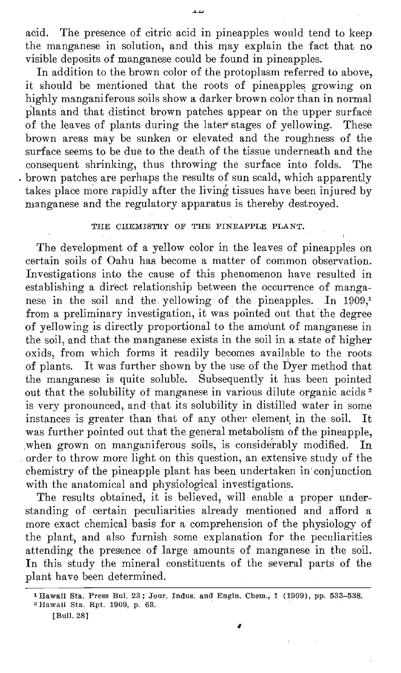acid. The presence of citric acid in pineapples would tend to ke the manganese in solution, and this may explain the fact that no visible deposits of manganese could be found in pineapples.

In addition to the brown color of the protoplasm referred to above. it should be mentioned that the roots of pineapples growing on highly manganiferous soils show a darker brown color than in normal plants and that distinct brown patches appear on the upper surfa of the leaves of plants during the later stages of yellowing. These brown areas may be sunken or elevated and the roughness of the surface seems to be due to the death of the tissue underneath and the consequent shrinking, thus throwing the surface into folds. T . brown patches are perhaps the results of sun scald, which apparently takes place more rapidly after the living tissues have been injured by manganese and the regulatory apparatus is thereby destroyed.

### THE CHEMISTRY OF THE PINEAPPLE PLANT.

The development of a yellow color in the leaves of pineapples on certain soils of Oahu has become a matter of common observatio Investigations into the cause of this phenomenon have resulted establishing a direct relationship between the occurrence of manganese in the soil and the yellowing of the pineapples. In  $1909,1$ from a preliminary investigation, it was pointed out that the degree of yellowing is directly proportional to the amount of manganese in the soil, and that the manganese exists in the soil in a state of high oxids, from which forms it readily becomes available to the roots of plants. It was further shown by the use of the Dyer method that the manganese is quite soluble. Subsequently it has been pointed out that the solubility of manganese in various dilute organic acids<sup>2</sup> is very pronounced, and that its solubility in distilled water in some instances is greater than that of any other element in the soil. It was further pointed out that the general metabolism of the pineapple. when grown on manganiferous soils, is considerably modified. In order to throw more light on this question, an extensive study *of* t chemistry of the pineapple plant has been undertaken in conjunction with the anatomical and physiological investigations.

The results obtained, it is believed, will enable a proper understanding of certain peculiarities already mentioned and afford a more exact chemical basis for a comprehension of the physiology of the plant, and also furnish some explanation for the peculiarities attending the presence of large amounts of manganese in the soil. In this study the mineral constituents of the several parts of the plant have been determined.

<sup>&</sup>lt;sup>1</sup> Hawaii Sta. Press Bul. 23; Jour. Indus. and Engin. Chem., 1 (1909), pp. 533-538.

<sup>&</sup>lt;sup>2</sup> Hawaii Sta. Rpt. 1909, p. 63.

<sup>[</sup>Bull. 28]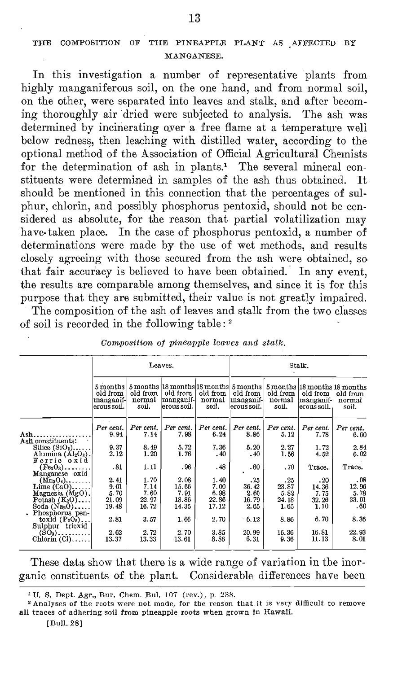#### THE COMPOSITION OF THE PINEAPPLE PLANT AS AFFECTED BY MANGANESE.

In this investigation a number of representative plants from highly manganiferous soil, on the one hand, and from normal soil, on the other, were separated into leaves and stalk, and after becoming thoroughly air dried were subjected to analysis. The ash was determined by incinerating over a free flame at a temperature well below redness, then leaching with distilled water, according to the optional method of the Association of Official Agricultural Chemists for the determination of ash in plants.<sup>1</sup> The several mineral constituents were determined in samples of the ash thus obtained. It should be mentioned in this connection that the percentages of sulphur, chlorin, and possibly phosphorus pentoxid, should not be considered as absolute, for the reason that partial volatilization may have taken place. In the case of phosphorus pentoxid, a number of determinations were made by the use of wet methods, and results closely agreeing with those secured from the ash were obtained, so that fair accuracy is believed to have been obtained. In any event, the results are comparable among themselves, and since it is for this purpose that they are submitted, their value is not greatly impaired.

The composition of the ash of leaves and stalk from the two classes of soil is recorded in the following table:<sup>2</sup>

| Leaves.                               |                             |                               |                             | Stalk.                  |                             |                                                            |                                                   |  |
|---------------------------------------|-----------------------------|-------------------------------|-----------------------------|-------------------------|-----------------------------|------------------------------------------------------------|---------------------------------------------------|--|
| old from<br>erous soil.               | old from<br>normal<br>soil. | old from<br>erous soil.       | old from<br>normal<br>soil. | old from<br>erous soil. | old from<br>normal<br>soil. | old from<br>erous soil.                                    | old from<br>normal<br>soil.                       |  |
| Per cent.<br>9.94                     | Per cent.<br>7.14           | Per cent.<br>7.98             | Per cent.<br>6.24           | Per cent.<br>8.86       | Per cent.<br>5.12           | Per cent.<br>7.78                                          | Per cent.<br>6.60                                 |  |
| 9.37<br>Alumina $(Al_2O_3)$ .<br>2.12 | 8.49<br>1.20                | 5.72<br>1.76                  | 7.36<br>.40                 | 5.20<br>.40             | 2.27<br>1.56                | 1.72<br>4.52                                               | 2.84<br>6.02                                      |  |
| .81                                   | 1. 11                       | .96                           | .48                         | .60                     | .70                         | Trace.                                                     | Trace.                                            |  |
| 2. 41<br>9.01                         | 1.70<br>7.14                | 2.08<br>15.66                 | 1.40<br>7.00                | .25<br>36.42            | .25<br>23.87                | .20<br>14.36                                               | .08<br>12.96                                      |  |
| 21.09<br>19.48                        | 22.97<br>16.72              | 18.86<br>14.35                | 22.86<br>17.12              | 16.79<br>2.65           | 24.18<br>1.65               | 32.26<br>1.10                                              | 5.78<br>33.01<br>.60                              |  |
| 2.81                                  | 3.57                        | 1.66                          | 2.70                        | 6.12                    | 8.86                        | 6.70                                                       | 8.36                                              |  |
| 2.62<br>13.37                         | 2.72<br>13.33               | 2.70<br>13.61                 | 3.85<br>8.86                | 20.99<br>6.31           | 16.36<br>9.36               | 16.81<br>11.13                                             | 22.93<br>8.01                                     |  |
|                                       | 5.70                        | 5 months<br>manganif-<br>7.60 | 7.91                        | manganif-<br>6.98       | 2.60                        | 5 months 18 months 18 months 5 months<br>manganif-<br>5.82 | 5 months 18 months 18 months<br>manganif-<br>7.75 |  |

#### Composition of pineapple leaves and stalk.

These data show that there is a wide range of variation in the inorganic constituents of the plant. Considerable differences have been

<sup>1</sup> U. S. Dept. Agr., Bur. Chem. Bul. 107 (rev.), p. 238.

<sup>2</sup> Analyses of the roots were not made, for the reason that it is very difficult to remove all traces of adhering soil from pineapple roots when grown in Hawaii.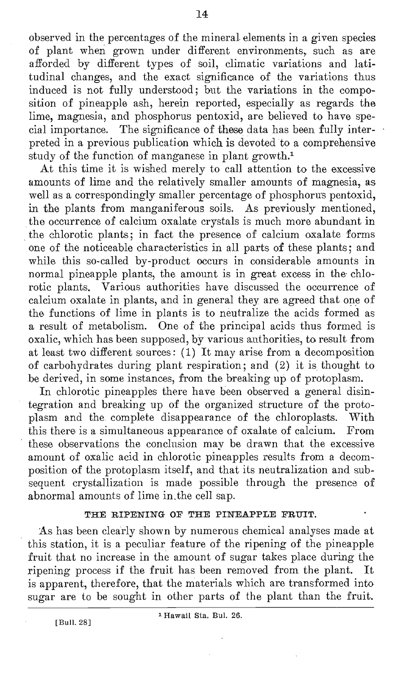observed in the percentages of the mineral elements in a given species of plant when grown under different environments, such as are afforded by different types of soil, climatic variations and latitudinal changes, and the exact significance of the variations thus induced is not fully understood; but the variations in the composition of pineapple ash, herein reported, especially as regards the lime, magnesia, and phosphorus pentoxid, are believed to have special importance. The significance of these data has been fully interpreted in a previous publication which is devoted to a comprehensive study of the function of manganese in plant growth.<sup>1</sup>

At this time it is wished merely to call attention to the excessive amounts of lime and the relatively smaller amounts of magnesia, as well as a correspondingly smaller percentage of phosphorus pentoxid, in the plants from manganiferous soils. As previously mentioned. the occurrence of calcium oxalate crystals is much more abundant in the chlorotic plants; in fact the presence of calcium oxalate forms one of the noticeable characteristics in all parts of these plants; and while this so-called by-product occurs in considerable amounts in normal pineapple plants, the amount is in great excess in the chlorotic plants. Various authorities have discussed the occurrence of calcium oxalate in plants, and in general they are agreed that one of the functions of lime in plants is to neutralize the acids formed a result of metabolism. One of the principal acids thus formed is oxalic, which has been supposed, by various authorities, to result from at least two different sources: (1) It may arise from a decomposition of carbohydrates during plant respiration; and (2) it is thought be derived, in some instances, from the breaking up of protoplasm.

In chlorotic pineapples there have been observed a general disintegration and breaking up of the organized structure of the pro plasm and the complete disappearance of the chloroplasts. With this there is a simultaneous appearance of oxalate of calcium. From these observations the conclusion may be drawn that the excessive amount of oxalic acid in chlorotic pineapples results from a decomposition of the protoplasm itself, and that its neutralization and subsequent crystallization is made possible through the presence of abnormal amounts of lime in the cell sap.

### THE RIPENING OF THE PINEAPPLE FRUIT.

As has been clearly shown by numerous chemical analyses made at this station, it is a peculiar feature of the ripening of the pineapple fruit that no increase in the amount of sugar takes place during the ripening process if the fruit has been removed from the plant. is apparent, therefore, that the materials which are transformed into sugar are to be sought in other parts of the plant than the fruit.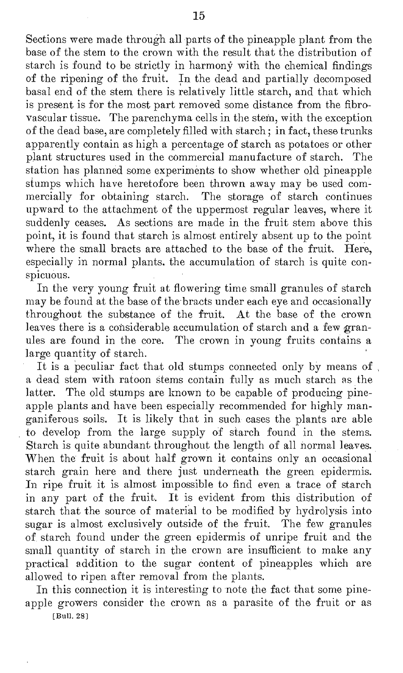Sections were made through all parts of the pineapple plant from the base of the stem to the crown with the result that the distribution of starch is found to be strictly in harmony with the chemical findings of the ripening of the fruit. In the dead and partially decomposed basal end of the stem there is relatively little starch, and that which is present is for the most part removed some distance from the fibrovascular tissue. The parenchyma cells in the stem, with the exception of the dead base, are completely filled with starch ; in fact, these trunks apparently contain as high a percentage of starch as potatoes or other plant structures used in the commercial manufacture of starch. The station has planned some experiments to show whether old pineapple stumps which have heretofore been thrown away may be used commercially for obtaining starch. The storage of starch continues up ward to the attachment of the uppermost regular leaves, where it suddenly ceases. As sections are made in the fruit stem above this point, it is found that starch is almost entirely absent up to the point where the small bracts are attached to the base of the fruit. Here, especially in normal plants, the accumulation of starch is quite conspicuous.

In the very young fruit at flowering time small granules of starch may be found at the base of the bracts under each eye and occasionally throughout the substance of the fruit. At the base of the crown leaves there is a considerable accumulation of starch and a few granules are found in the core. The crown in young fruits contains a large quantity of starch.

It is a peculiar fact that old stumps connected only by means of  $\sqrt{ }$ a dead stem with ratoon stems contain fully as much starch as the latter. The old stumps are known to be capable of producing pineapple plants and have been especially recommended for highly manganiferous soils. It is likely that in such cases the plants are able to develop from the large supply of starch found in the stems. Starch is quite abundant throughout the length of all normal leaves. When the fruit is about half grown it contains only an occasional starch grain here and there just underneath the green epidermis. In ripe fruit it is almost impossible to find even a trace of starch in any part of the fruit. It is evident from this distribution of starch that the source of material to be modified by hydrolysis into sugar is almost exclusively outside of the fruit. The few granules of starch found under the green epidermis of unripe fruit and the small quantity of starch in the crown are insufficient to make any practical addition to the sugar content of pineapples which are allowed to ripen after removal from the plants.

In this connection it is interesting to note the fact that some pineapple growers consider the crown as a parasite of the fruit or as [Bull. 28]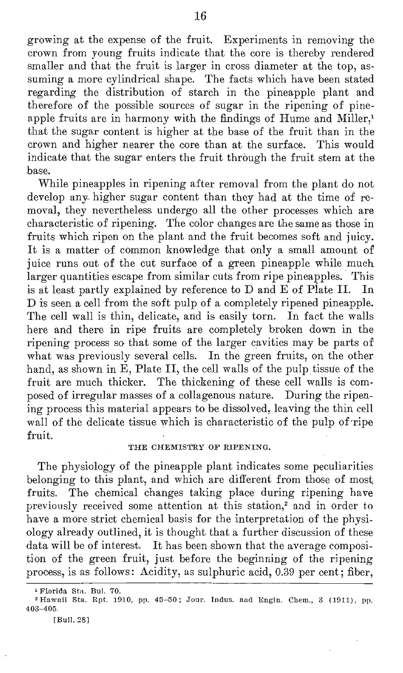growing at the expense of the fruit. Experiments in removing the crown from young fruits indicate that the core is thereby rendered smaller and that the fruit is larger in cross diameter at the top, assuming a more cylindrical shape. The facts which have been stated regarding the distribution of starch in the pineapple plant and therefore of the possible sources of sugar in the ripening of pine apple fruits are in harmony with the findings of Hume and Miller,<sup>1</sup> that the sugar content is higher at the base of the fruit than in the crown and higher nearer the core than at the surface. This would indicate that the sugar enters the fruit through the fruit stem at the ba se.

While pineapples in ripening after removal from the plant do not develop any higher sugar content than they had at the time of removal, they nevertheless undergo all the other processes which are characteristic of ripening. The color changes are the same as those in fruits which ripen on the plant and the fruit becomes soft and juicy. It is a matter of common knowledge that only a small amount of juice runs out of the cut surface of a green pineapple while much larger quantities escape from similar cuts from ripe pineapples. This is at least partly explained by reference to  $D$  and  $E$  of Plate II. In  $D$  is seen a cell from the soft pulp of a completely ripened pineapple. The cell wall is thin, delicate, and is easily torn. In fact the walls here and there in ripe fruits are completely broken down in the ripening process so that some of the larger cavities may be parts of what was previously several cells. In the green fruits, on the other hand, as shown in  $\tilde{E}$ , Plate II, the cell walls of the pulp tissue of the fruit are much thicker. The thickening of these cell walls is composed of irregular masses of a collagenous nature. During the ripening process this material appears to be dissolved, leaving the thin cell wall of the delicate tissue which is characteristic of the pulp of ripe fruit.<br>THE CHEMISTRY OF RIPENING.

The physiology of the pineapple plant indicates some peculiarities belonging to this plant, and which are different from those of most fruits. The chemical changes taking place during ripening have previously received some attention at this station,<sup>2</sup> and in order to have a more strict chemical basis for the interpretation of the physiology already outlined, it is thought that a further discussion of these data will be of interest. It has been shown that the average composition of the green fruit, just before the beginning of the ripening process, is as follows: Acidity, as sulphuric acid, 0.39 per cent; fiber,

<sup>&</sup>lt;sup>1</sup> Florida Sta. Bul. 70.

 $2$  Hawaii Sta. Rpt. 1910, pp. 45-50; Jour. Indus. and Engin. Chem., 3 (1911), pp. 40 3-405.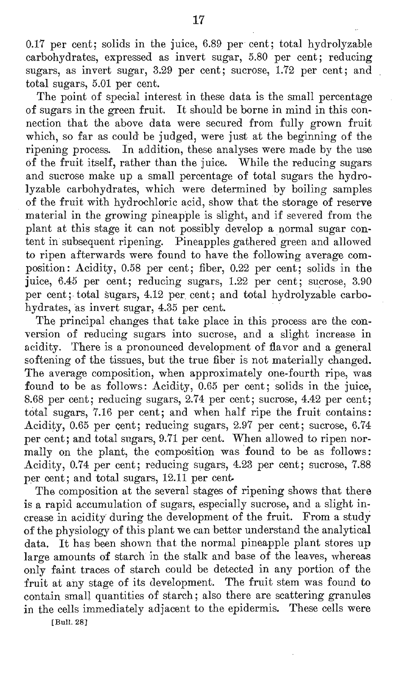0.17 per cent; solids in the juice, 6.89 per cent; total hydrolyzable carbohydrates, expressed as invert sugar, 5.80 per cent; reducing sugars, as invert sugar, 3.29 per cent; sucrose, 1.72 per cent; and total sugars, 5.01 per cent.

The point of special interest in these data is the small percentage of sugars in the green fruit. It should be borne in mind in this connection that the above data were secured from fully grown fruit which, so far as could be judged, were just at the beginning of the ripening process. In addition, these analyses were made by the use of the fruit itself, rather than the juice. While the reducing sugars and sucrose make up a small percentage of total sugars the hydrolyzable carbohydrates, which were determined by boiling samples of the fruit with hydrochloric acid, show that the storage of reserve material in the growing pineapple is slight, and if severed from the plant at this stage it can not possibly develop a normal sugar content in subsequent ripening. Pineapples gathered green and allowed to ripen afterwards were found to have the following average composition: Acidity, 0.58 per cent; fiber, 0.22 per cent; solids in the juice, 6.45 per cent; reducing sugars, 1.22 per cent; sucrose, 3.90 per cent; total sugars, 4.12 per cent; and total hydrolyzable carbohydrates, as invert sugar,  $4.35$  per cent.

The principal changes that take place in this process are the conversion of reducing sugars into sucrose, and a slight increase in acidity. 'There is a pronounced development of flavor and a general softening of the tissues, but the true fiber is not materially changed. The average composition, when approximately one-fourth ripe, was found to be as follows: Acidity,  $0.65$  per cent; solids in the juice, 8.68 per cent; reducing sugars, 2.74 per cent; sucrose, 4.42 per cent ; total sugars, 7.16 per cent; and when half ripe the fruit contains: Acidity, 0.65 per cent; reducing sugars, 2.97 per cent; sucrose, 6.74 per cent; and total sugars, 9.71 per cent. When allowed to ripen normally on the plant, the composition was found to be as follows: Acidity, 0.74 per cent; reducing sugars, 4.23 per cent; sucrose, 7.88 per cent; and total sugars, 12.11 per cent

The composition at the several stages of ripening shows that there is a rapid accumulation of sugars, especially sucrose, and a slight increase in acidity during the development of the fruit. From a study of the physiology of this plant we can better understand the analytical data. It has been shown that the normal pineapple plant stores up large amounts of starch in the stalk and base of the leaves, whereas only faint traces of starch could be detected in any portion of the fruit at any stage of its development. The fruit stem was found to contain small quantities of starch ; also there are scattering granules in the cells immediately adjacent to the epidermis. These cells were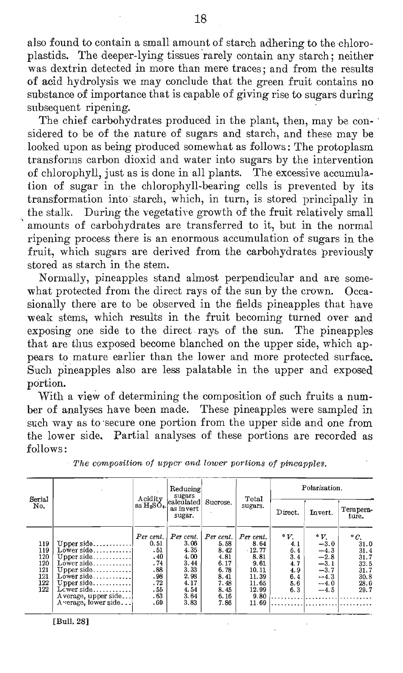also found to contain a small amount of starch adhering to the chloroplastids. The deeper-lying tissues rarely contain any starch; neither was dextrin detected in more than mere traces; and from the results of acid hydrolysis we may conclude that the green fruit contains substance of importance that is capable of giving rise to sugars during subsequent ripening.

The chief carbohydrates produced in the plant, then, may be considered to be of the nature of sugars and starch, and these may be looked upon as being produced somewhat as follows: The protoplasm transforms carbon dioxid and water into sugars by the interventi of chlorophyll, just as is done in all plants. The excessive accumu tion of sugar in the chlorophyll-bearing cells is prevented by its transformation into starch, which, in turn, is stored principally in the stalk. During the vegetative growth of the fruit relatively small amounts of carbohydrates are transferred to it, but in the normal ripening process there is an enormous accumulation of sugars in the fruit, which sugars are derived from the carbohydrates previously stored as starch in the stem.

Normally, pineapples stand almost perpendicular and are somewhat protected from the direct rays of the sun by the crown. Occasionally there are to be observed in the fields pineapples that have weak stems, which results in the fruit becoming turned over and exposing one side to the direct rays of the sun. The pineapples that are thus exposed become blanched on the upper side, which a pears to mature earlier than the lower and more protected surface. Such pineapples also are less palatable in the upper and exposed portion.

With a view of determining the composition of such fruits a number of analyses have been made. These pineapples were sampled in such way as to secure one portion from the upper side and one from the lower side. Partial analyses of these portions are recorded as follows:

|                                                      |                                                                                                                                                             | Acidity                                                                           | Reducing<br>sugars<br>calculated<br>as invert<br>sugar.                                   | Sucrose.                                                                                  | Total<br>sugars.                                                                                   | Polarization.                                                |                                                                                             |                                                                              |  |
|------------------------------------------------------|-------------------------------------------------------------------------------------------------------------------------------------------------------------|-----------------------------------------------------------------------------------|-------------------------------------------------------------------------------------------|-------------------------------------------------------------------------------------------|----------------------------------------------------------------------------------------------------|--------------------------------------------------------------|---------------------------------------------------------------------------------------------|------------------------------------------------------------------------------|--|
| No.                                                  | Serial                                                                                                                                                      | $aS H_2SO_4$                                                                      |                                                                                           |                                                                                           |                                                                                                    | Direct.                                                      | Invert.                                                                                     | Tempera-<br>ture.                                                            |  |
| 119<br>119<br>120<br>120<br>121<br>121<br>122<br>122 | Upper side<br>$Lower side$<br>Upper side<br>$Lower side$<br>Upper side<br>Lower side<br>$L \bar{c}$ wer side<br>Average, upper side<br>A verage, lower side | Per cent.<br>0.51<br>. 51<br>.40<br>.74<br>.88<br>.98<br>.72<br>.55<br>.63<br>.69 | Per cent.<br>3.06<br>4.35<br>4.00<br>3.44<br>3.33<br>2.98<br>4.17<br>4.54<br>3.64<br>3.83 | Per cent.<br>5.58<br>8.42<br>4.81<br>6.17<br>6.78<br>8.41<br>7.48<br>8.45<br>6.16<br>7.86 | Per cent.<br>8.64<br>$-12.77$<br>8.81<br>9.61<br>10.11<br>11.39<br>11.65<br>12.99<br>9.80<br>11.69 | ° V.<br>4.1<br>6.4<br>3.4<br>4.7<br>4.9<br>6.4<br>5.6<br>6.3 | $\circ V$ .<br>$-3.0$<br>$-4.3$<br>$-2.8$<br>$-3.1$<br>$-3.7$<br>$-4.3$<br>$-4.0$<br>$-4.5$ | $^{\circ}C.$<br>31.0<br>31.4<br>31.7<br>32.5<br>31.7<br>30.8<br>28.6<br>29.7 |  |

The composition of upper and lower portions of pineapples.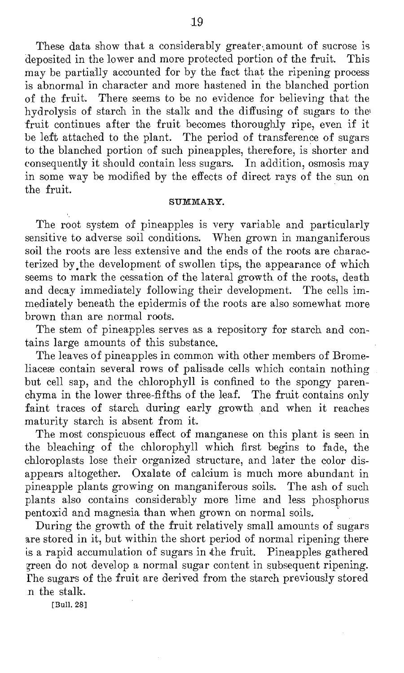These data show that a considerably greater amount of sucrose is deposited in the lower and more protected portion of the fruit. This may be partially accounted for by the fact that the ripening process is abnormal in character and more hastened in the blanched portion of the fruit. There seems to be no evidence for believing that the hydrolysis of starch in the stalk and the diffusing of sugars to the fruit continues after the fruit becomes thoroughly ripe, even if it be left attached to the plant. The period of transference of sugars to the blanched portion of such pineapples, therefore, is shorter and consequently it should contain less sugars. In addition, osmosis may in some way be modified by the effects of direct rays of the sun on the fruit.

#### SUMMARY.

The root system of pineapples is very variable and particularly sensitive to adverse soil conditions. When grown in manganiferous soil the roots are less extensive and the ends of the roots are characterized by the development of swollen tips, the appearance of which seems to mark the cessation of the lateral growth of the roots, death and decay immediately following their development. The cells immediately beneath the epidermis of the roots are also somewhat more brown than are normal roots.

The stem of pineapples serves as a repository for starch and contains large amounts of this substance.

The leaves of pineapples in common with other members of Bromeliaceæ contain several rows of palisade cells which contain nothing but cell sap, and the chlorophyll is confined to the spongy parenchyma in the lower three-fifths of the leaf. The fruit contains only faint traces of starch during early growth and when it reaches maturity starch is absent from it.

The most conspicuous effect of manganese on this plant is seen in the bleaching of the chlorophyll which first begins to fade, the chloroplasts lose their organized structure, and later the color disappears altogether. Oxalate of calcium is much more abundant in pineapple plants growing on manganiferous soils. The ash of such plants also contains considerably more lime and less phosphorus pentoxid and magnesia than when grown on normal soils.

During the growth of the fruit relatively small amounts of sugars are stored in it, but within the short period of normal ripening there is a rapid accumulation of sugars in the fruit. Pineapples gathered green do not develop a normal sugar content in subsequent ripening. The sugars of the fruit are derived from the starch previously stored .n the stalk.